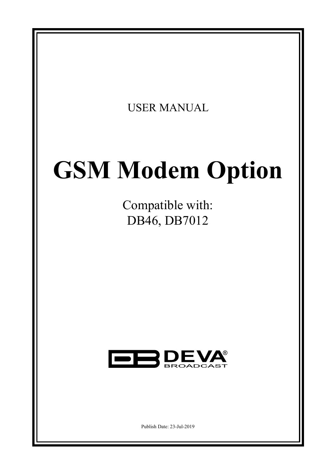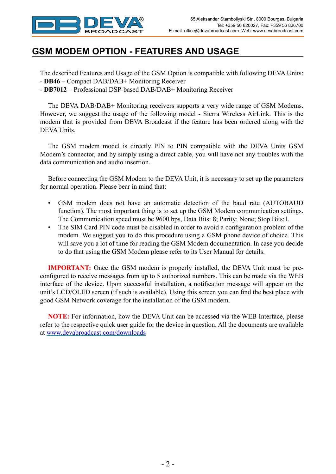

# **GSM MODEM OPTION - FEATURES AND USAGE**

The described Features and Usage of the GSM Option is compatible with following DEVA Units:

- **DB46** Compact DAB/DAB+ Monitoring Receiver
- **DB7012** Professional DSP-based DAB/DAB+ Monitoring Receiver

The DEVA DAB/DAB+ Monitoring receivers supports a very wide range of GSM Modems. However, we suggest the usage of the following model - Sierra Wireless AirLink. This is the modem that is provided from DEVA Broadcast if the feature has been ordered along with the DEVA Units.

The GSM modem model is directly PIN to PIN compatible with the DEVA Units GSM Modem's connector, and by simply using a direct cable, you will have not any troubles with the data communication and audio insertion.

Before connecting the GSM Modem to the DEVA Unit, it is necessary to set up the parameters for normal operation. Please bear in mind that:

- • GSM modem does not have an automatic detection of the baud rate (AUTOBAUD function). The most important thing is to set up the GSM Modem communication settings. The Communication speed must be 9600 bps, Data Bits: 8; Parity: None; Stop Bits:1.
- The SIM Card PIN code must be disabled in order to avoid a configuration problem of the modem. We suggest you to do this procedure using a GSM phone device of choice. This will save you a lot of time for reading the GSM Modem documentation. In case you decide to do that using the GSM Modem please refer to its User Manual for details.

**IMPORTANT:** Once the GSM modem is properly installed, the DEVA Unit must be preconfigured to receive messages from up to 5 authorized numbers. This can be made via the WEB interface of the device. Upon successful installation, a notification message will appear on the unit's LCD/OLED screen (if such is available). Using this screen you can find the best place with good GSM Network coverage for the installation of the GSM modem.

**NOTE:** For information, how the DEVA Unit can be accessed via the WEB Interface, please refer to the respective quick user guide for the device in question. All the documents are available at www.devabroadcast.com/downloads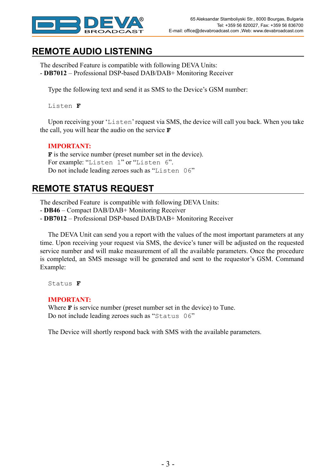

## **REMOTE AUDIO LISTENING**

The described Feature is compatible with following DEVA Units: - **DB7012** – Professional DSP-based DAB/DAB+ Monitoring Receiver

Type the following text and send it as SMS to the Device's GSM number:

Listen **F**

Upon receiving your 'Listen' request via SMS, the device will call you back. When you take the call, you will hear the audio on the service **F**

### **IMPORTANT:**

**F** is the service number (preset number set in the device). For example: "Listen 1" or "Listen 6". Do not include leading zeroes such as "Listen 06"

## **REMOTE STATUS REQUEST**

The described Feature is compatible with following DEVA Units:

- **DB46** – Compact DAB/DAB+ Monitoring Receiver

- **DB7012** – Professional DSP-based DAB/DAB+ Monitoring Receiver

The DEVA Unit can send you a report with the values of the most important parameters at any time. Upon receiving your request via SMS, the device's tuner will be adjusted on the requested service number and will make measurement of all the available parameters. Once the procedure is completed, an SMS message will be generated and sent to the requestor's GSM. Command Example:

Status **F**

#### **IMPORTANT:**

Where **F** is service number (preset number set in the device) to Tune. Do not include leading zeroes such as "Status 06"

The Device will shortly respond back with SMS with the available parameters.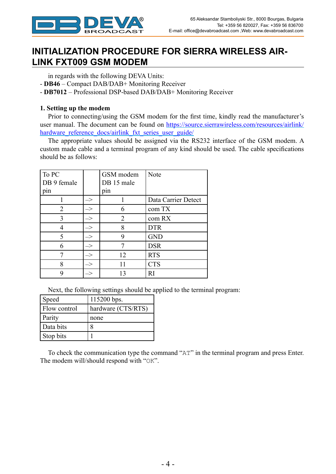

# **INITIALIZATION PROCEDURE FOR SIERRA WIRELESS AIR-LINK FXT009 GSM MODEM**

in regards with the following DEVA Units:

- **DB46** Compact DAB/DAB+ Monitoring Receiver
- **DB7012** Professional DSP-based DAB/DAB+ Monitoring Receiver

### **1. Setting up the modem**

Prior to connecting/using the GSM modem for the first time, kindly read the manufacturer's user manual. The document can be found on https://source.sierrawireless.com/resources/airlink/ hardware reference docs/airlink fxt series user guide/

The appropriate values should be assigned via the RS232 interface of the GSM modem. A custom made cable and a terminal program of any kind should be used. The cable specifications should be as follows:

| To PC          |               | GSM modem  | Note                |
|----------------|---------------|------------|---------------------|
| DB 9 female    |               | DB 15 male |                     |
| pin            |               | pin        |                     |
|                | ->            |            | Data Carrier Detect |
| $\overline{2}$ | $\Rightarrow$ | 6          | com TX              |
| 3              | $\Rightarrow$ | 2          | com RX              |
|                | $\Rightarrow$ | 8          | <b>DTR</b>          |
| 5              | $\Rightarrow$ | 9          | <b>GND</b>          |
| 6              | $\rightarrow$ |            | <b>DSR</b>          |
|                | $\Rightarrow$ | 12         | <b>RTS</b>          |
| 8              | $\Rightarrow$ | 11         | <b>CTS</b>          |
| 9              | ->            | 13         | RI                  |

Next, the following settings should be applied to the terminal program:

| Speed        | 115200 bps.        |
|--------------|--------------------|
| Flow control | hardware (CTS/RTS) |
| Parity       | none               |
| Data bits    |                    |
| Stop bits    |                    |

To check the communication type the command "AT" in the terminal program and press Enter. The modem will/should respond with "OK".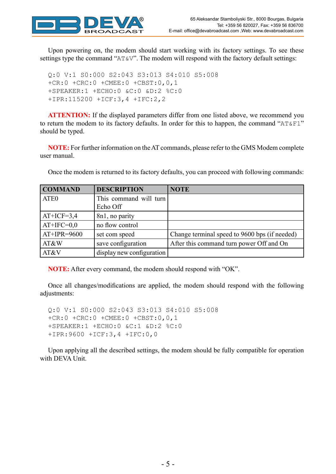

Upon powering on, the modem should start working with its factory settings. To see these settings type the command " $AT@V$ ". The modem will respond with the factory default settings:

Q:0 V:1 S0:000 S2:043 S3:013 S4:010 S5:008 +CR:0 +CRC:0 +CMEE:0 +CBST:0,0,1 +SPEAKER:1 +ECHO:0 &C:0 &D:2 %C:0 +IPR:115200 +ICF:3,4 +IFC:2,2

**ATTENTION:** If the displayed parameters differ from one listed above, we recommend you to return the modem to its factory defaults. In order for this to happen, the command "AT&F1" should be typed.

**NOTE:** For further information on the AT commands, please refer to the GMS Modem complete user manual.

**COMMAND DESCRIPTION NOTE** ATE0 This command will turn Echo Off  $AT+ICF=3,4$  | 8n1, no parity  $AT+IFC=0,0$  | no flow control AT+IPR=9600 set com speed Change terminal speed to 9600 bps (if needed) AT&W save configuration After this command turn power Off and On AT&V display new configuration

Once the modem is returned to its factory defaults, you can proceed with following commands:

**NOTE:** After every command, the modem should respond with "OK".

Once all changes/modifications are applied, the modem should respond with the following adjustments:

Q:0 V:1 S0:000 S2:043 S3:013 S4:010 S5:008 +CR:0 +CRC:0 +CMEE:0 +CBST:0,0,1 +SPEAKER:1 +ECHO:0 &C:1 &D:2 %C:0 +IPR:9600 +ICF:3,4 +IFC:0,0

Upon applying all the described settings, the modem should be fully compatible for operation with DEVA Unit.